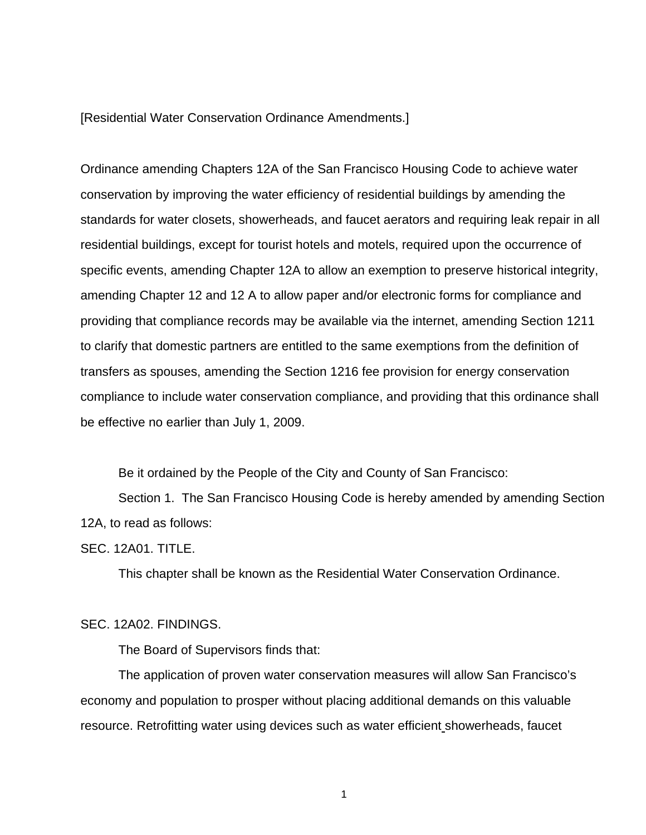### [Residential Water Conservation Ordinance Amendments.]

Ordinance amending Chapters 12A of the San Francisco Housing Code to achieve water conservation by improving the water efficiency of residential buildings by amending the standards for water closets, showerheads, and faucet aerators and requiring leak repair in all residential buildings, except for tourist hotels and motels, required upon the occurrence of specific events, amending Chapter 12A to allow an exemption to preserve historical integrity, amending Chapter 12 and 12 A to allow paper and/or electronic forms for compliance and providing that compliance records may be available via the internet, amending Section 1211 to clarify that domestic partners are entitled to the same exemptions from the definition of transfers as spouses, amending the Section 1216 fee provision for energy conservation compliance to include water conservation compliance, and providing that this ordinance shall be effective no earlier than July 1, 2009.

Be it ordained by the People of the City and County of San Francisco:

Section 1. The San Francisco Housing Code is hereby amended by amending Section 12A, to read as follows:

SEC. 12A01. TITLE.

This chapter shall be known as the Residential Water Conservation Ordinance.

#### SEC. 12A02. FINDINGS.

The Board of Supervisors finds that:

 The application of proven water conservation measures will allow San Francisco's economy and population to prosper without placing additional demands on this valuable resource. Retrofitting water using devices such as water efficient showerheads, faucet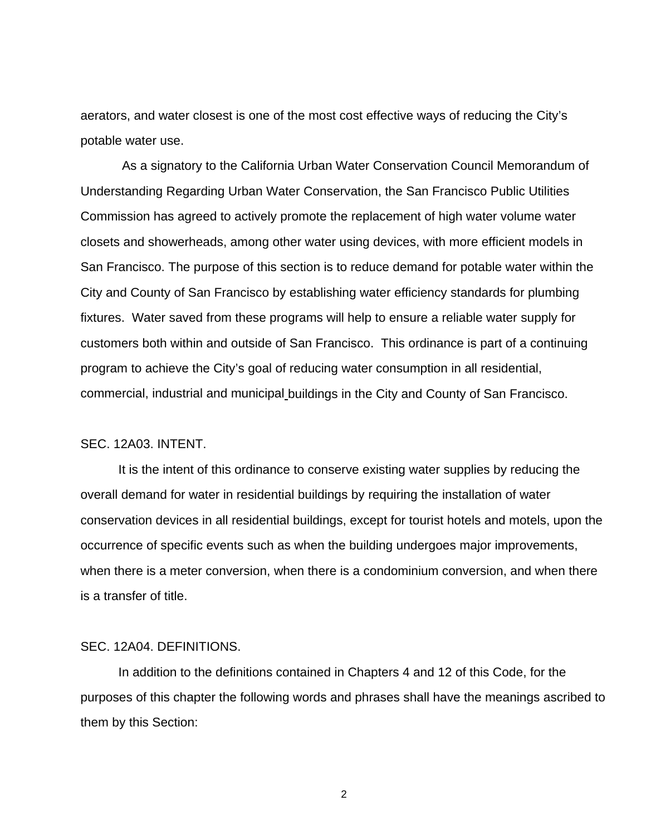aerators, and water closest is one of the most cost effective ways of reducing the City's potable water use.

 As a signatory to the California Urban Water Conservation Council Memorandum of Understanding Regarding Urban Water Conservation, the San Francisco Public Utilities Commission has agreed to actively promote the replacement of high water volume water closets and showerheads, among other water using devices, with more efficient models in San Francisco. The purpose of this section is to reduce demand for potable water within the City and County of San Francisco by establishing water efficiency standards for plumbing fixtures. Water saved from these programs will help to ensure a reliable water supply for customers both within and outside of San Francisco. This ordinance is part of a continuing program to achieve the City's goal of reducing water consumption in all residential, commercial, industrial and municipal buildings in the City and County of San Francisco.

#### SEC. 12A03. INTENT.

 It is the intent of this ordinance to conserve existing water supplies by reducing the overall demand for water in residential buildings by requiring the installation of water conservation devices in all residential buildings, except for tourist hotels and motels, upon the occurrence of specific events such as when the building undergoes major improvements, when there is a meter conversion, when there is a condominium conversion, and when there is a transfer of title.

### SEC. 12A04. DEFINITIONS.

 In addition to the definitions contained in Chapters 4 and 12 of this Code, for the purposes of this chapter the following words and phrases shall have the meanings ascribed to them by this Section: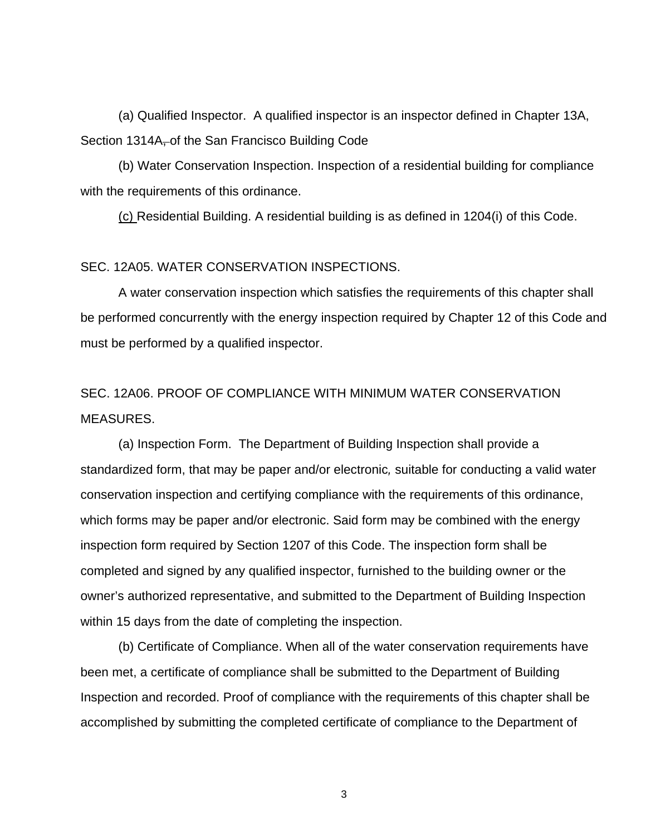(a) Qualified Inspector. A qualified inspector is an inspector defined in Chapter 13A, Section 1314A, of the San Francisco Building Code

 (b) Water Conservation Inspection. Inspection of a residential building for compliance with the requirements of this ordinance.

(c) Residential Building. A residential building is as defined in 1204(i) of this Code.

## SEC. 12A05. WATER CONSERVATION INSPECTIONS.

 A water conservation inspection which satisfies the requirements of this chapter shall be performed concurrently with the energy inspection required by Chapter 12 of this Code and must be performed by a qualified inspector.

# SEC. 12A06. PROOF OF COMPLIANCE WITH MINIMUM WATER CONSERVATION MEASURES.

 (a) Inspection Form. The Department of Building Inspection shall provide a standardized form, that may be paper and/or electronic*,* suitable for conducting a valid water conservation inspection and certifying compliance with the requirements of this ordinance, which forms may be paper and/or electronic. Said form may be combined with the energy inspection form required by Section 1207 of this Code. The inspection form shall be completed and signed by any qualified inspector, furnished to the building owner or the owner's authorized representative, and submitted to the Department of Building Inspection within 15 days from the date of completing the inspection.

 (b) Certificate of Compliance. When all of the water conservation requirements have been met, a certificate of compliance shall be submitted to the Department of Building Inspection and recorded. Proof of compliance with the requirements of this chapter shall be accomplished by submitting the completed certificate of compliance to the Department of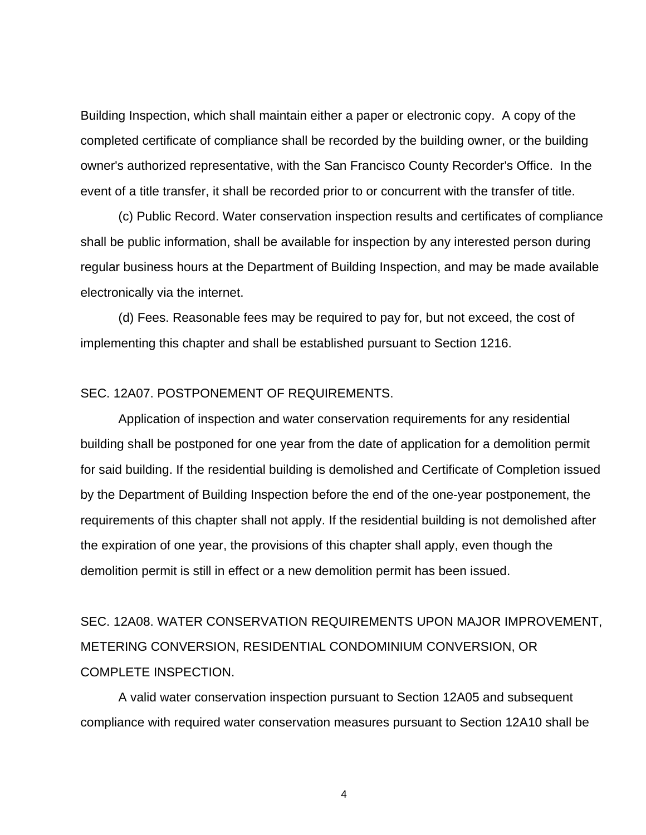Building Inspection, which shall maintain either a paper or electronic copy. A copy of the completed certificate of compliance shall be recorded by the building owner, or the building owner's authorized representative, with the San Francisco County Recorder's Office. In the event of a title transfer, it shall be recorded prior to or concurrent with the transfer of title.

 (c) Public Record. Water conservation inspection results and certificates of compliance shall be public information, shall be available for inspection by any interested person during regular business hours at the Department of Building Inspection, and may be made available electronically via the internet.

 (d) Fees. Reasonable fees may be required to pay for, but not exceed, the cost of implementing this chapter and shall be established pursuant to Section 1216.

### SEC. 12A07. POSTPONEMENT OF REQUIREMENTS.

 Application of inspection and water conservation requirements for any residential building shall be postponed for one year from the date of application for a demolition permit for said building. If the residential building is demolished and Certificate of Completion issued by the Department of Building Inspection before the end of the one-year postponement, the requirements of this chapter shall not apply. If the residential building is not demolished after the expiration of one year, the provisions of this chapter shall apply, even though the demolition permit is still in effect or a new demolition permit has been issued.

SEC. 12A08. WATER CONSERVATION REQUIREMENTS UPON MAJOR IMPROVEMENT, METERING CONVERSION, RESIDENTIAL CONDOMINIUM CONVERSION, OR COMPLETE INSPECTION.

 A valid water conservation inspection pursuant to Section 12A05 and subsequent compliance with required water conservation measures pursuant to Section 12A10 shall be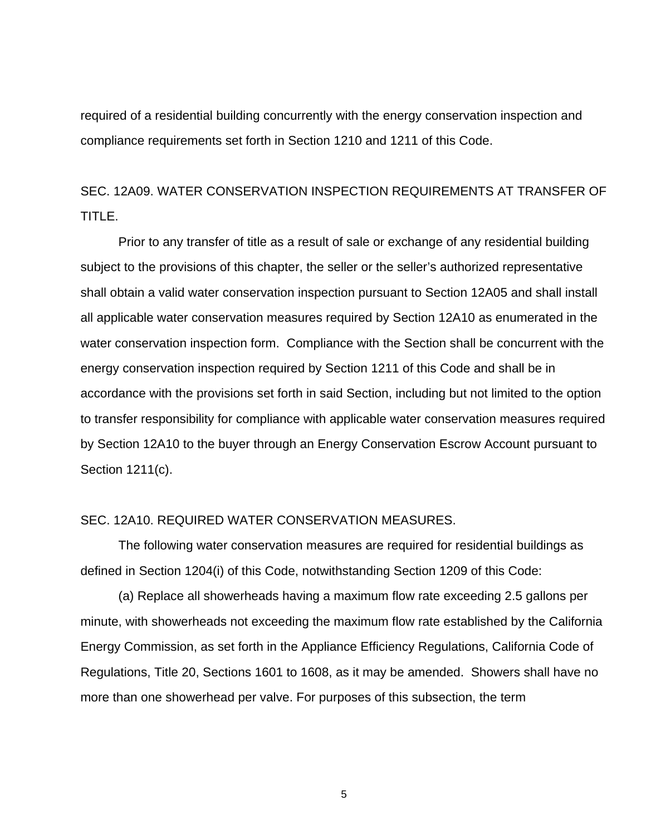required of a residential building concurrently with the energy conservation inspection and compliance requirements set forth in Section 1210 and 1211 of this Code.

# SEC. 12A09. WATER CONSERVATION INSPECTION REQUIREMENTS AT TRANSFER OF TITLE.

 Prior to any transfer of title as a result of sale or exchange of any residential building subject to the provisions of this chapter, the seller or the seller's authorized representative shall obtain a valid water conservation inspection pursuant to Section 12A05 and shall install all applicable water conservation measures required by Section 12A10 as enumerated in the water conservation inspection form. Compliance with the Section shall be concurrent with the energy conservation inspection required by Section 1211 of this Code and shall be in accordance with the provisions set forth in said Section, including but not limited to the option to transfer responsibility for compliance with applicable water conservation measures required by Section 12A10 to the buyer through an Energy Conservation Escrow Account pursuant to Section 1211(c).

## SEC. 12A10. REQUIRED WATER CONSERVATION MEASURES.

 The following water conservation measures are required for residential buildings as defined in Section 1204(i) of this Code, notwithstanding Section 1209 of this Code:

 (a) Replace all showerheads having a maximum flow rate exceeding 2.5 gallons per minute, with showerheads not exceeding the maximum flow rate established by the California Energy Commission, as set forth in the Appliance Efficiency Regulations, California Code of Regulations, Title 20, Sections 1601 to 1608, as it may be amended. Showers shall have no more than one showerhead per valve. For purposes of this subsection, the term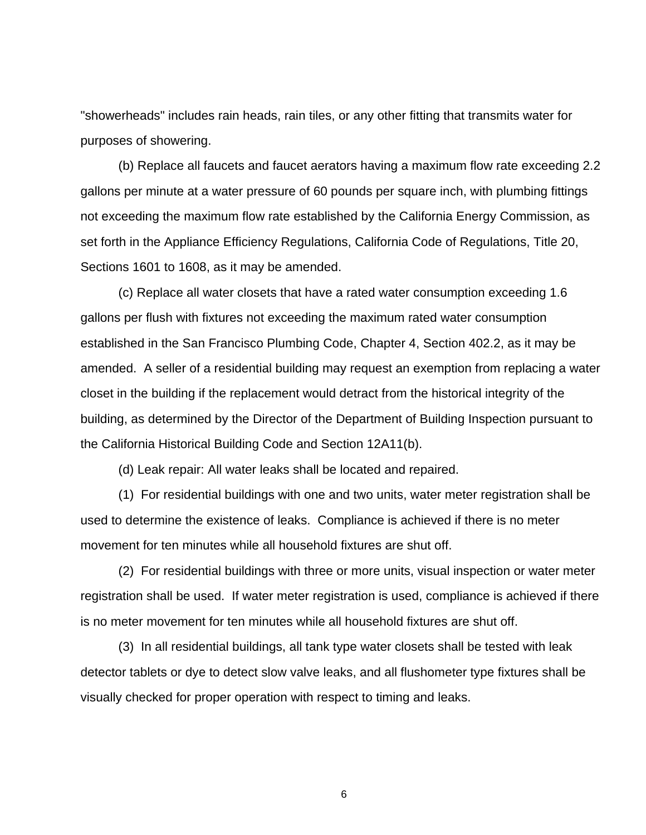"showerheads" includes rain heads, rain tiles, or any other fitting that transmits water for purposes of showering.

 (b) Replace all faucets and faucet aerators having a maximum flow rate exceeding 2.2 gallons per minute at a water pressure of 60 pounds per square inch, with plumbing fittings not exceeding the maximum flow rate established by the California Energy Commission, as set forth in the Appliance Efficiency Regulations, California Code of Regulations, Title 20, Sections 1601 to 1608, as it may be amended.

 (c) Replace all water closets that have a rated water consumption exceeding 1.6 gallons per flush with fixtures not exceeding the maximum rated water consumption established in the San Francisco Plumbing Code, Chapter 4, Section 402.2, as it may be amended. A seller of a residential building may request an exemption from replacing a water closet in the building if the replacement would detract from the historical integrity of the building, as determined by the Director of the Department of Building Inspection pursuant to the California Historical Building Code and Section 12A11(b).

(d) Leak repair: All water leaks shall be located and repaired.

 (1) For residential buildings with one and two units, water meter registration shall be used to determine the existence of leaks. Compliance is achieved if there is no meter movement for ten minutes while all household fixtures are shut off.

(2) For residential buildings with three or more units, visual inspection or water meter registration shall be used. If water meter registration is used, compliance is achieved if there is no meter movement for ten minutes while all household fixtures are shut off.

 (3) In all residential buildings, all tank type water closets shall be tested with leak detector tablets or dye to detect slow valve leaks, and all flushometer type fixtures shall be visually checked for proper operation with respect to timing and leaks.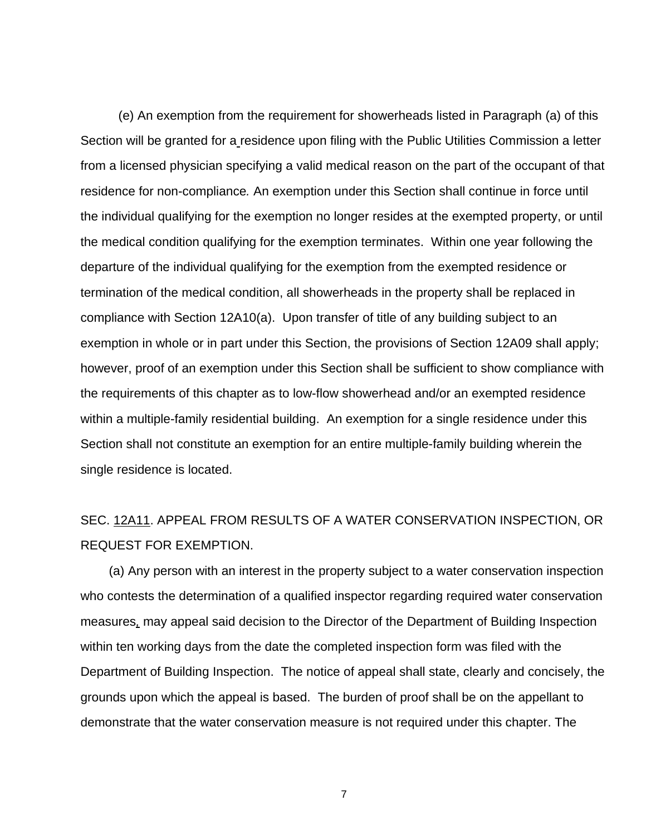(e) An exemption from the requirement for showerheads listed in Paragraph (a) of this Section will be granted for a residence upon filing with the Public Utilities Commission a letter from a licensed physician specifying a valid medical reason on the part of the occupant of that residence for non-compliance*.* An exemption under this Section shall continue in force until the individual qualifying for the exemption no longer resides at the exempted property, or until the medical condition qualifying for the exemption terminates. Within one year following the departure of the individual qualifying for the exemption from the exempted residence or termination of the medical condition, all showerheads in the property shall be replaced in compliance with Section 12A10(a).Upon transfer of title of any building subject to an exemption in whole or in part under this Section, the provisions of Section 12A09 shall apply; however, proof of an exemption under this Section shall be sufficient to show compliance with the requirements of this chapter as to low-flow showerhead and/or an exempted residence within a multiple-family residential building. An exemption for a single residence under this Section shall not constitute an exemption for an entire multiple-family building wherein the single residence is located.

# SEC. 12A11. APPEAL FROM RESULTS OF A WATER CONSERVATION INSPECTION, OR REQUEST FOR EXEMPTION.

 (a) Any person with an interest in the property subject to a water conservation inspection who contests the determination of a qualified inspector regarding required water conservation measures*,* may appeal said decision to the Director of the Department of Building Inspection within ten working days from the date the completed inspection form was filed with the Department of Building Inspection. The notice of appeal shall state, clearly and concisely, the grounds upon which the appeal is based. The burden of proof shall be on the appellant to demonstrate that the water conservation measure is not required under this chapter. The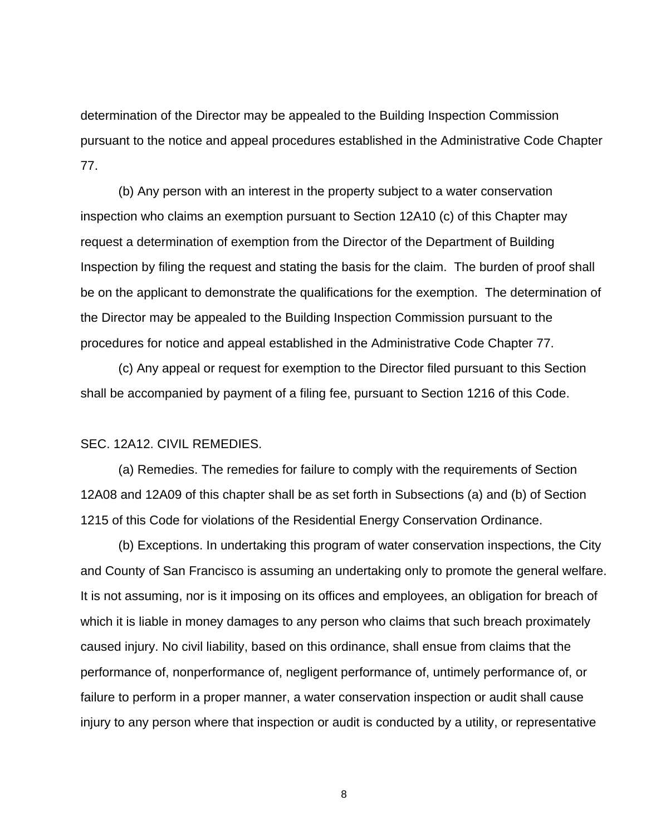determination of the Director may be appealed to the Building Inspection Commission pursuant to the notice and appeal procedures established in the Administrative Code Chapter 77.

 (b) Any person with an interest in the property subject to a water conservation inspection who claims an exemption pursuant to Section 12A10 (c) of this Chapter may request a determination of exemption from the Director of the Department of Building Inspection by filing the request and stating the basis for the claim. The burden of proof shall be on the applicant to demonstrate the qualifications for the exemption. The determination of the Director may be appealed to the Building Inspection Commission pursuant to the procedures for notice and appeal established in the Administrative Code Chapter 77.

 (c) Any appeal or request for exemption to the Director filed pursuant to this Section shall be accompanied by payment of a filing fee, pursuant to Section 1216 of this Code.

### SEC. 12A12. CIVIL REMEDIES.

 (a) Remedies. The remedies for failure to comply with the requirements of Section 12A08 and 12A09 of this chapter shall be as set forth in Subsections (a) and (b) of Section 1215 of this Code for violations of the Residential Energy Conservation Ordinance.

 (b) Exceptions. In undertaking this program of water conservation inspections, the City and County of San Francisco is assuming an undertaking only to promote the general welfare. It is not assuming, nor is it imposing on its offices and employees, an obligation for breach of which it is liable in money damages to any person who claims that such breach proximately caused injury. No civil liability, based on this ordinance, shall ensue from claims that the performance of, nonperformance of, negligent performance of, untimely performance of, or failure to perform in a proper manner, a water conservation inspection or audit shall cause injury to any person where that inspection or audit is conducted by a utility, or representative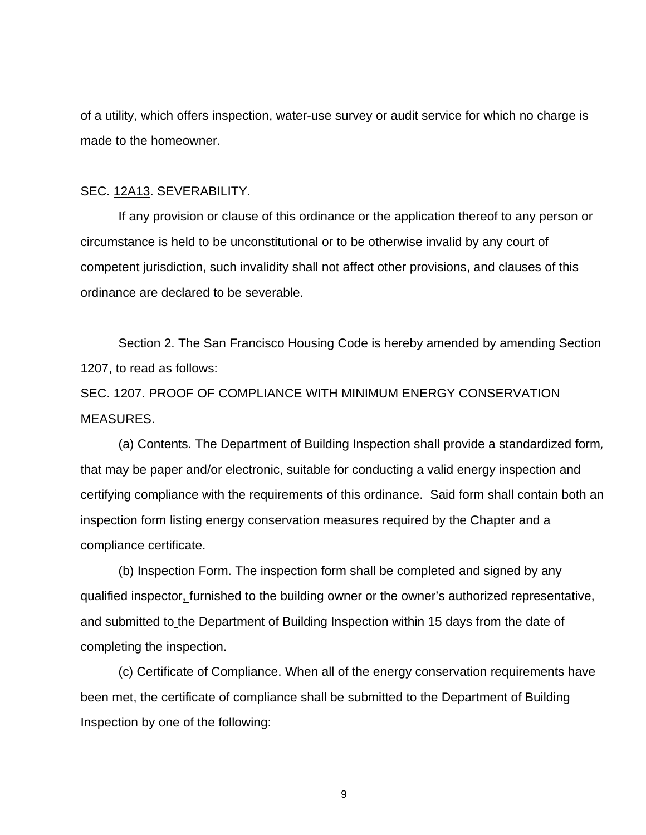of a utility, which offers inspection, water-use survey or audit service for which no charge is made to the homeowner.

### SEC. 12A13. SEVERABILITY.

 If any provision or clause of this ordinance or the application thereof to any person or circumstance is held to be unconstitutional or to be otherwise invalid by any court of competent jurisdiction, such invalidity shall not affect other provisions, and clauses of this ordinance are declared to be severable.

 Section 2. The San Francisco Housing Code is hereby amended by amending Section 1207, to read as follows:

SEC. 1207. PROOF OF COMPLIANCE WITH MINIMUM ENERGY CONSERVATION MEASURES.

 (a) Contents. The Department of Building Inspection shall provide a standardized form*,*  that may be paper and/or electronic, suitable for conducting a valid energy inspection and certifying compliance with the requirements of this ordinance. Said form shall contain both an inspection form listing energy conservation measures required by the Chapter and a compliance certificate.

 (b) Inspection Form. The inspection form shall be completed and signed by any qualified inspector, furnished to the building owner or the owner's authorized representative, and submitted to the Department of Building Inspection within 15 days from the date of completing the inspection.

 (c) Certificate of Compliance. When all of the energy conservation requirements have been met, the certificate of compliance shall be submitted to the Department of Building Inspection by one of the following: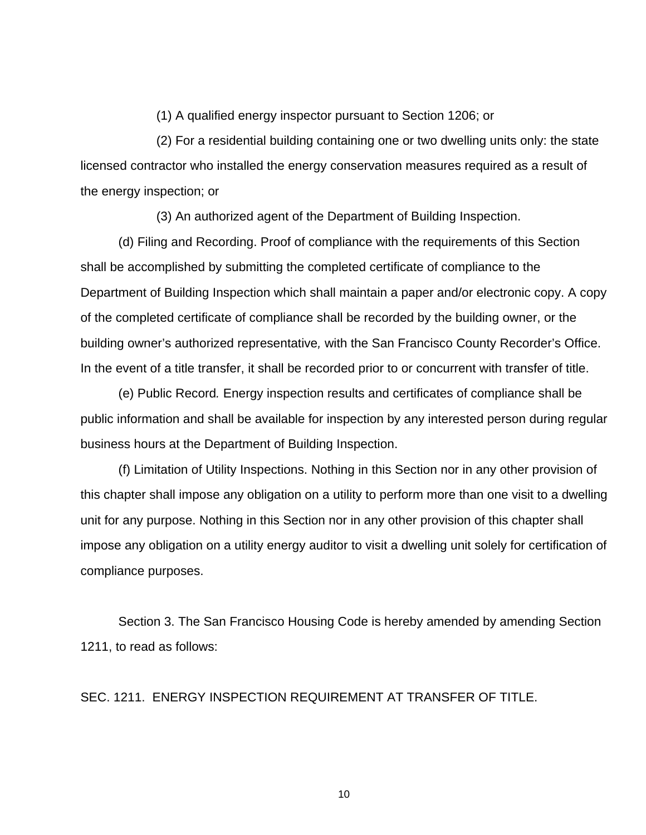(1) A qualified energy inspector pursuant to Section 1206; or

 (2) For a residential building containing one or two dwelling units only: the state licensed contractor who installed the energy conservation measures required as a result of the energy inspection; or

(3) An authorized agent of the Department of Building Inspection.

 (d) Filing and Recording. Proof of compliance with the requirements of this Section shall be accomplished by submitting the completed certificate of compliance to the Department of Building Inspection which shall maintain a paper and/or electronic copy. A copy of the completed certificate of compliance shall be recorded by the building owner, or the building owner's authorized representative*,* with the San Francisco County Recorder's Office. In the event of a title transfer, it shall be recorded prior to or concurrent with transfer of title.

(e) Public Record*.* Energy inspection results and certificates of compliance shall be public information and shall be available for inspection by any interested person during regular business hours at the Department of Building Inspection.

(f) Limitation of Utility Inspections. Nothing in this Section nor in any other provision of this chapter shall impose any obligation on a utility to perform more than one visit to a dwelling unit for any purpose. Nothing in this Section nor in any other provision of this chapter shall impose any obligation on a utility energy auditor to visit a dwelling unit solely for certification of compliance purposes.

 Section 3. The San Francisco Housing Code is hereby amended by amending Section 1211, to read as follows:

SEC. 1211. ENERGY INSPECTION REQUIREMENT AT TRANSFER OF TITLE.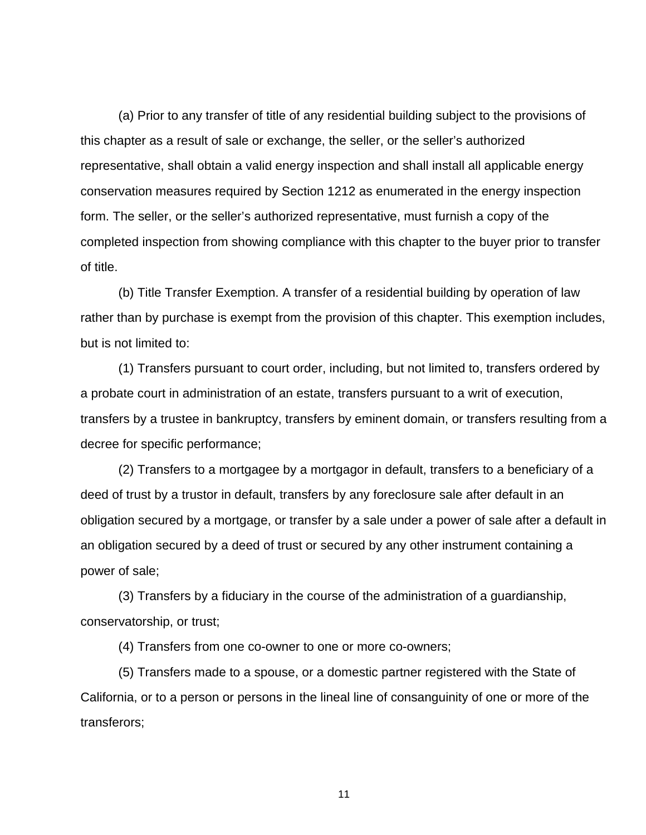(a) Prior to any transfer of title of any residential building subject to the provisions of this chapter as a result of sale or exchange, the seller, or the seller's authorized representative, shall obtain a valid energy inspection and shall install all applicable energy conservation measures required by Section 1212 as enumerated in the energy inspection form. The seller, or the seller's authorized representative, must furnish a copy of the completed inspection from showing compliance with this chapter to the buyer prior to transfer of title.

 (b) Title Transfer Exemption. A transfer of a residential building by operation of law rather than by purchase is exempt from the provision of this chapter. This exemption includes, but is not limited to:

 (1) Transfers pursuant to court order, including, but not limited to, transfers ordered by a probate court in administration of an estate, transfers pursuant to a writ of execution, transfers by a trustee in bankruptcy, transfers by eminent domain, or transfers resulting from a decree for specific performance;

 (2) Transfers to a mortgagee by a mortgagor in default, transfers to a beneficiary of a deed of trust by a trustor in default, transfers by any foreclosure sale after default in an obligation secured by a mortgage, or transfer by a sale under a power of sale after a default in an obligation secured by a deed of trust or secured by any other instrument containing a power of sale;

 (3) Transfers by a fiduciary in the course of the administration of a guardianship, conservatorship, or trust;

(4) Transfers from one co-owner to one or more co-owners;

 (5) Transfers made to a spouse, or a domestic partner registered with the State of California, or to a person or persons in the lineal line of consanguinity of one or more of the transferors;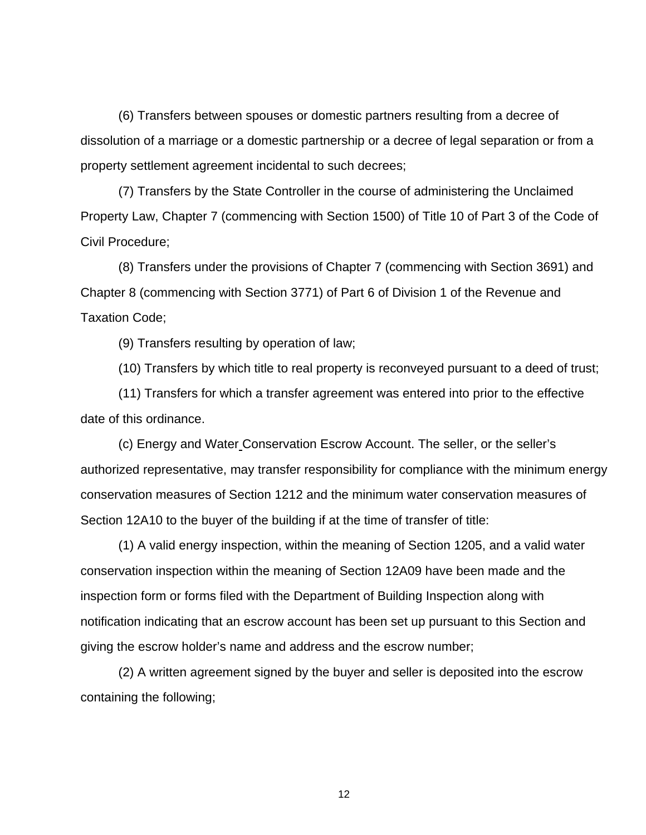(6) Transfers between spouses or domestic partners resulting from a decree of dissolution of a marriage or a domestic partnership or a decree of legal separation or from a property settlement agreement incidental to such decrees;

 (7) Transfers by the State Controller in the course of administering the Unclaimed Property Law, Chapter 7 (commencing with Section 1500) of Title 10 of Part 3 of the Code of Civil Procedure;

 (8) Transfers under the provisions of Chapter 7 (commencing with Section 3691) and Chapter 8 (commencing with Section 3771) of Part 6 of Division 1 of the Revenue and Taxation Code;

(9) Transfers resulting by operation of law;

(10) Transfers by which title to real property is reconveyed pursuant to a deed of trust;

 (11) Transfers for which a transfer agreement was entered into prior to the effective date of this ordinance.

 (c) Energy and Water Conservation Escrow Account. The seller, or the seller's authorized representative, may transfer responsibility for compliance with the minimum energy conservation measures of Section 1212 and the minimum water conservation measures of Section 12A10 to the buyer of the building if at the time of transfer of title:

 (1) A valid energy inspection, within the meaning of Section 1205, and a valid water conservation inspection within the meaning of Section 12A09 have been made and the inspection form or forms filed with the Department of Building Inspection along with notification indicating that an escrow account has been set up pursuant to this Section and giving the escrow holder's name and address and the escrow number;

 (2) A written agreement signed by the buyer and seller is deposited into the escrow containing the following;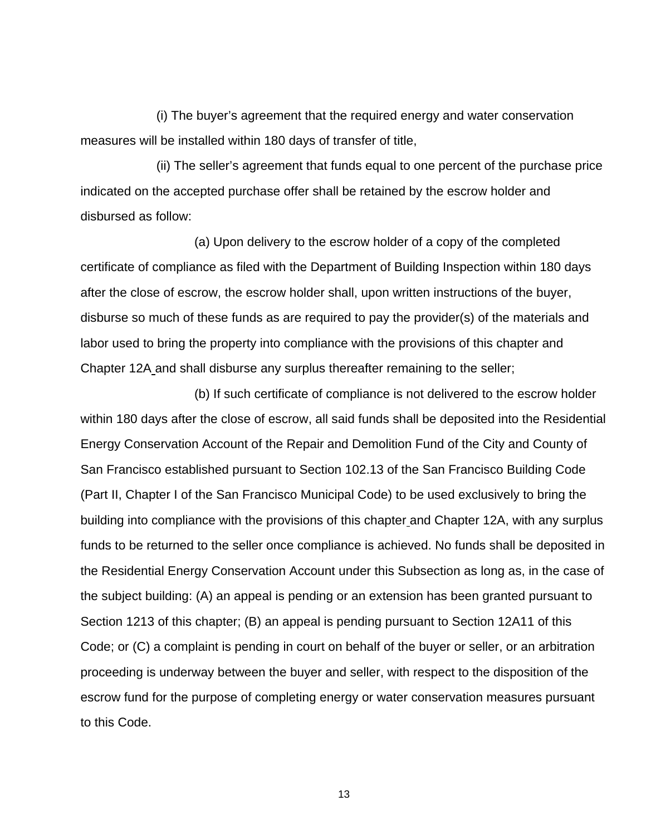(i) The buyer's agreement that the required energy and water conservation measures will be installed within 180 days of transfer of title,

 (ii) The seller's agreement that funds equal to one percent of the purchase price indicated on the accepted purchase offer shall be retained by the escrow holder and disbursed as follow:

 (a) Upon delivery to the escrow holder of a copy of the completed certificate of compliance as filed with the Department of Building Inspection within 180 days after the close of escrow, the escrow holder shall, upon written instructions of the buyer, disburse so much of these funds as are required to pay the provider(s) of the materials and labor used to bring the property into compliance with the provisions of this chapter and Chapter 12A and shall disburse any surplus thereafter remaining to the seller;

 (b) If such certificate of compliance is not delivered to the escrow holder within 180 days after the close of escrow, all said funds shall be deposited into the Residential Energy Conservation Account of the Repair and Demolition Fund of the City and County of San Francisco established pursuant to Section 102.13 of the San Francisco Building Code (Part II, Chapter I of the San Francisco Municipal Code) to be used exclusively to bring the building into compliance with the provisions of this chapter and Chapter 12A, with any surplus funds to be returned to the seller once compliance is achieved. No funds shall be deposited in the Residential Energy Conservation Account under this Subsection as long as, in the case of the subject building: (A) an appeal is pending or an extension has been granted pursuant to Section 1213 of this chapter; (B) an appeal is pending pursuant to Section 12A11 of this Code; or (C) a complaint is pending in court on behalf of the buyer or seller, or an arbitration proceeding is underway between the buyer and seller, with respect to the disposition of the escrow fund for the purpose of completing energy or water conservation measures pursuant to this Code.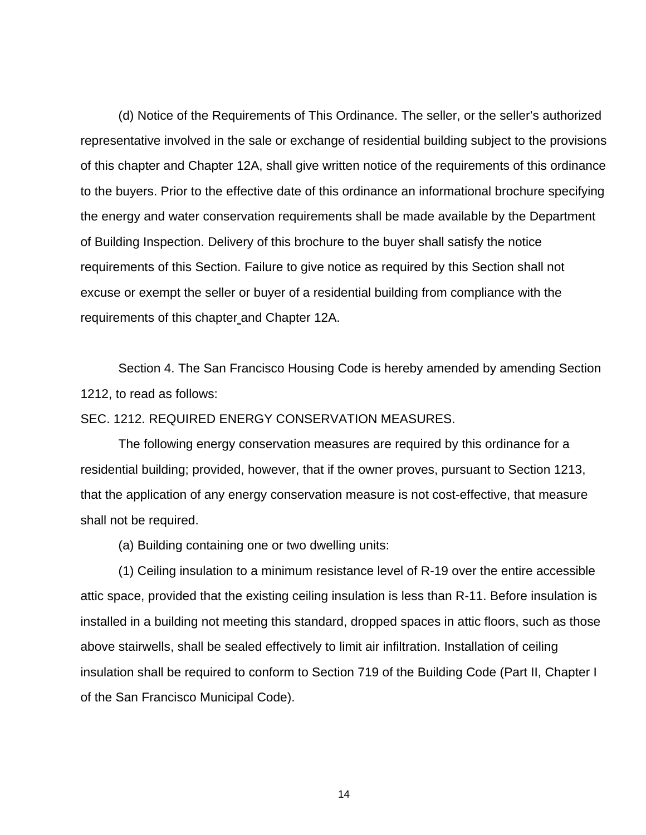(d) Notice of the Requirements of This Ordinance. The seller, or the seller's authorized representative involved in the sale or exchange of residential building subject to the provisions of this chapter and Chapter 12A, shall give written notice of the requirements of this ordinance to the buyers. Prior to the effective date of this ordinance an informational brochure specifying the energy and water conservation requirements shall be made available by the Department of Building Inspection. Delivery of this brochure to the buyer shall satisfy the notice requirements of this Section. Failure to give notice as required by this Section shall not excuse or exempt the seller or buyer of a residential building from compliance with the requirements of this chapter and Chapter 12A.

 Section 4. The San Francisco Housing Code is hereby amended by amending Section 1212, to read as follows:

## SEC. 1212. REQUIRED ENERGY CONSERVATION MEASURES.

 The following energy conservation measures are required by this ordinance for a residential building; provided, however, that if the owner proves, pursuant to Section 1213, that the application of any energy conservation measure is not cost-effective, that measure shall not be required.

(a) Building containing one or two dwelling units:

 (1) Ceiling insulation to a minimum resistance level of R-19 over the entire accessible attic space, provided that the existing ceiling insulation is less than R-11. Before insulation is installed in a building not meeting this standard, dropped spaces in attic floors, such as those above stairwells, shall be sealed effectively to limit air infiltration. Installation of ceiling insulation shall be required to conform to Section 719 of the Building Code (Part II, Chapter I of the San Francisco Municipal Code).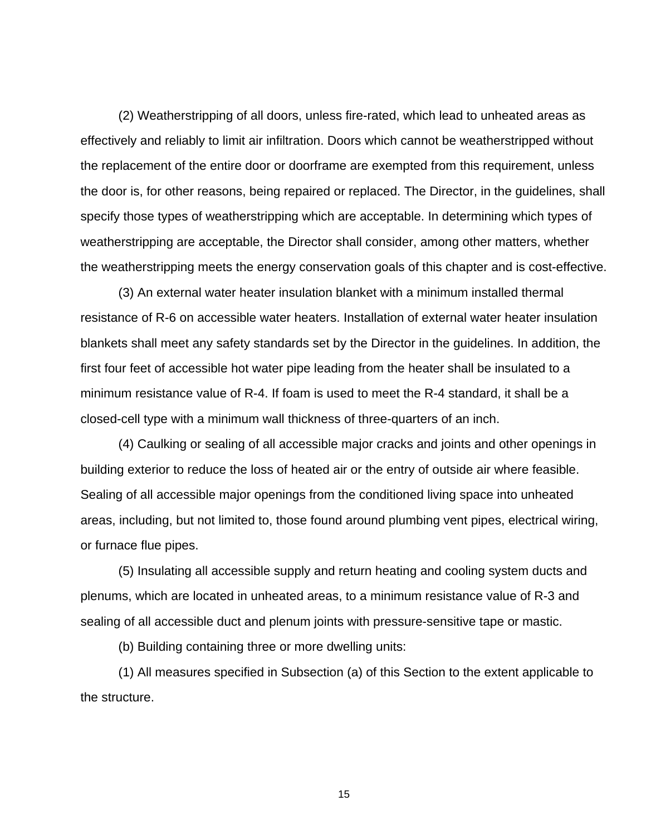(2) Weatherstripping of all doors, unless fire-rated, which lead to unheated areas as effectively and reliably to limit air infiltration. Doors which cannot be weatherstripped without the replacement of the entire door or doorframe are exempted from this requirement, unless the door is, for other reasons, being repaired or replaced. The Director, in the guidelines, shall specify those types of weatherstripping which are acceptable. In determining which types of weatherstripping are acceptable, the Director shall consider, among other matters, whether the weatherstripping meets the energy conservation goals of this chapter and is cost-effective.

 (3) An external water heater insulation blanket with a minimum installed thermal resistance of R-6 on accessible water heaters. Installation of external water heater insulation blankets shall meet any safety standards set by the Director in the guidelines. In addition, the first four feet of accessible hot water pipe leading from the heater shall be insulated to a minimum resistance value of R-4. If foam is used to meet the R-4 standard, it shall be a closed-cell type with a minimum wall thickness of three-quarters of an inch.

 (4) Caulking or sealing of all accessible major cracks and joints and other openings in building exterior to reduce the loss of heated air or the entry of outside air where feasible. Sealing of all accessible major openings from the conditioned living space into unheated areas, including, but not limited to, those found around plumbing vent pipes, electrical wiring, or furnace flue pipes.

 (5) Insulating all accessible supply and return heating and cooling system ducts and plenums, which are located in unheated areas, to a minimum resistance value of R-3 and sealing of all accessible duct and plenum joints with pressure-sensitive tape or mastic.

(b) Building containing three or more dwelling units:

 (1) All measures specified in Subsection (a) of this Section to the extent applicable to the structure.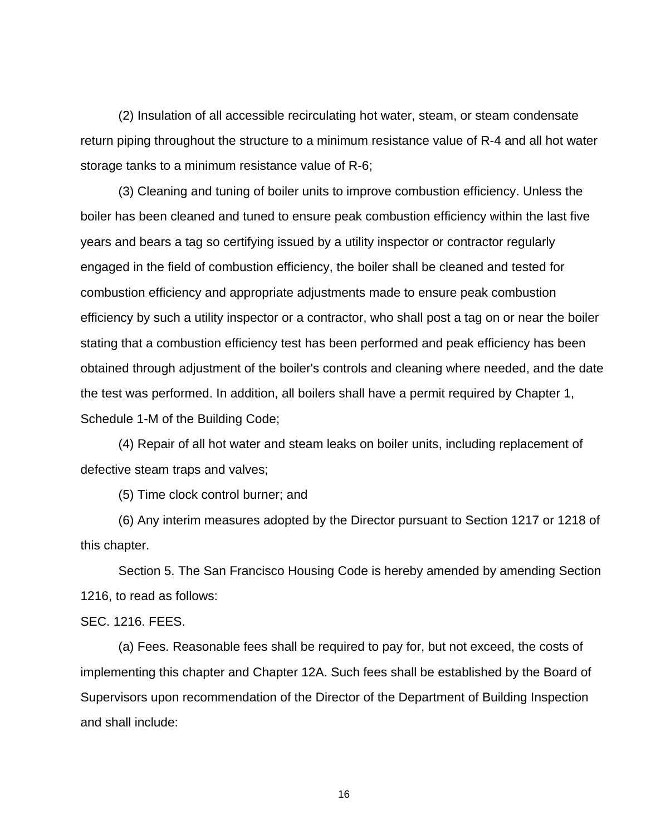(2) Insulation of all accessible recirculating hot water, steam, or steam condensate return piping throughout the structure to a minimum resistance value of R-4 and all hot water storage tanks to a minimum resistance value of R-6;

 (3) Cleaning and tuning of boiler units to improve combustion efficiency. Unless the boiler has been cleaned and tuned to ensure peak combustion efficiency within the last five years and bears a tag so certifying issued by a utility inspector or contractor regularly engaged in the field of combustion efficiency, the boiler shall be cleaned and tested for combustion efficiency and appropriate adjustments made to ensure peak combustion efficiency by such a utility inspector or a contractor, who shall post a tag on or near the boiler stating that a combustion efficiency test has been performed and peak efficiency has been obtained through adjustment of the boiler's controls and cleaning where needed, and the date the test was performed. In addition, all boilers shall have a permit required by Chapter 1, Schedule 1-M of the Building Code;

 (4) Repair of all hot water and steam leaks on boiler units, including replacement of defective steam traps and valves;

(5) Time clock control burner; and

 (6) Any interim measures adopted by the Director pursuant to Section 1217 or 1218 of this chapter.

 Section 5. The San Francisco Housing Code is hereby amended by amending Section 1216, to read as follows:

SEC. 1216. FEES.

 (a) Fees. Reasonable fees shall be required to pay for, but not exceed, the costs of implementing this chapter and Chapter 12A. Such fees shall be established by the Board of Supervisors upon recommendation of the Director of the Department of Building Inspection and shall include: